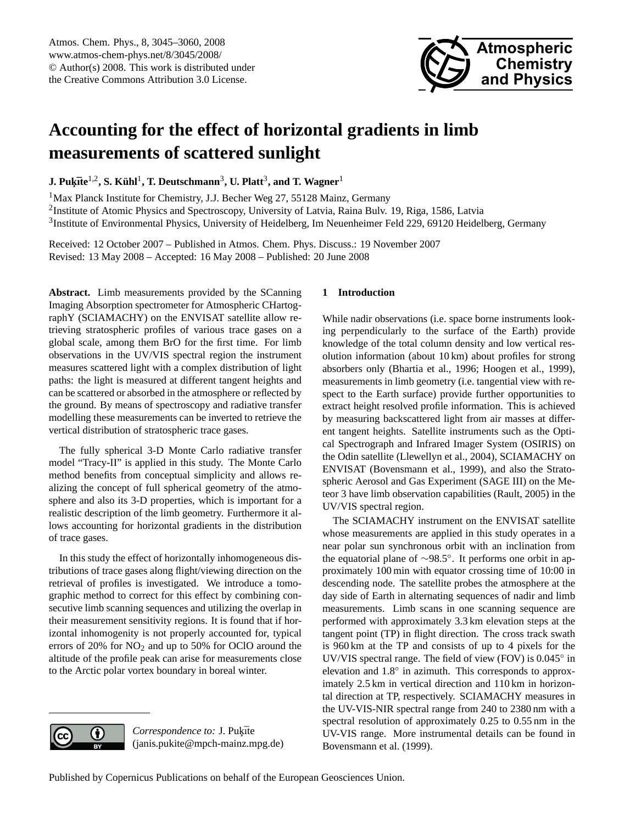

# <span id="page-0-0"></span>**Accounting for the effect of horizontal gradients in limb measurements of scattered sunlight**

 ${\bf J.}$  Puķīte $^{1,2}$ , S. Kühl $^{1}$ , T. Deutschmann $^{3}$ , U. Platt $^{3}$ , and T. Wagner $^{1}$ 

<sup>1</sup>Max Planck Institute for Chemistry, J.J. Becher Weg 27, 55128 Mainz, Germany <sup>2</sup>Institute of Atomic Physics and Spectroscopy, University of Latvia, Raina Bulv. 19, Riga, 1586, Latvia <sup>3</sup>Institute of Environmental Physics, University of Heidelberg, Im Neuenheimer Feld 229, 69120 Heidelberg, Germany

Received: 12 October 2007 – Published in Atmos. Chem. Phys. Discuss.: 19 November 2007 Revised: 13 May 2008 – Accepted: 16 May 2008 – Published: 20 June 2008

**Abstract.** Limb measurements provided by the SCanning Imaging Absorption spectrometer for Atmospheric CHartographY (SCIAMACHY) on the ENVISAT satellite allow retrieving stratospheric profiles of various trace gases on a global scale, among them BrO for the first time. For limb observations in the UV/VIS spectral region the instrument measures scattered light with a complex distribution of light paths: the light is measured at different tangent heights and can be scattered or absorbed in the atmosphere or reflected by the ground. By means of spectroscopy and radiative transfer modelling these measurements can be inverted to retrieve the vertical distribution of stratospheric trace gases.

The fully spherical 3-D Monte Carlo radiative transfer model "Tracy-II" is applied in this study. The Monte Carlo method benefits from conceptual simplicity and allows realizing the concept of full spherical geometry of the atmosphere and also its 3-D properties, which is important for a realistic description of the limb geometry. Furthermore it allows accounting for horizontal gradients in the distribution of trace gases.

In this study the effect of horizontally inhomogeneous distributions of trace gases along flight/viewing direction on the retrieval of profiles is investigated. We introduce a tomographic method to correct for this effect by combining consecutive limb scanning sequences and utilizing the overlap in their measurement sensitivity regions. It is found that if horizontal inhomogenity is not properly accounted for, typical errors of  $20\%$  for  $NO<sub>2</sub>$  and up to 50% for OClO around the altitude of the profile peak can arise for measurements close to the Arctic polar vortex boundary in boreal winter.

# **1 Introduction**

While nadir observations (i.e. space borne instruments looking perpendicularly to the surface of the Earth) provide knowledge of the total column density and low vertical resolution information (about 10 km) about profiles for strong absorbers only [\(Bhartia et al.,](#page-14-0) [1996;](#page-14-0) [Hoogen et al.,](#page-14-1) [1999\)](#page-14-1), measurements in limb geometry (i.e. tangential view with respect to the Earth surface) provide further opportunities to extract height resolved profile information. This is achieved by measuring backscattered light from air masses at different tangent heights. Satellite instruments such as the Optical Spectrograph and Infrared Imager System (OSIRIS) on the Odin satellite [\(Llewellyn et al.,](#page-15-0) [2004\)](#page-15-0), SCIAMACHY on ENVISAT [\(Bovensmann et al.,](#page-14-2) [1999\)](#page-14-2), and also the Stratospheric Aerosol and Gas Experiment (SAGE III) on the Meteor 3 have limb observation capabilities [\(Rault,](#page-15-1) [2005\)](#page-15-1) in the UV/VIS spectral region.

The SCIAMACHY instrument on the ENVISAT satellite whose measurements are applied in this study operates in a near polar sun synchronous orbit with an inclination from the equatorial plane of ∼98.5◦ . It performs one orbit in approximately 100 min with equator crossing time of 10:00 in descending node. The satellite probes the atmosphere at the day side of Earth in alternating sequences of nadir and limb measurements. Limb scans in one scanning sequence are performed with approximately 3.3 km elevation steps at the tangent point (TP) in flight direction. The cross track swath is 960 km at the TP and consists of up to 4 pixels for the UV/VIS spectral range. The field of view (FOV) is 0.045° in elevation and 1.8◦ in azimuth. This corresponds to approximately 2.5 km in vertical direction and 110 km in horizontal direction at TP, respectively. SCIAMACHY measures in the UV-VIS-NIR spectral range from 240 to 2380 nm with a spectral resolution of approximately 0.25 to 0.55 nm in the UV-VIS range. More instrumental details can be found in [Bovensmann et al.](#page-14-2) [\(1999\)](#page-14-2).



Correspondence to: J. Pukite (janis.pukite@mpch-mainz.mpg.de)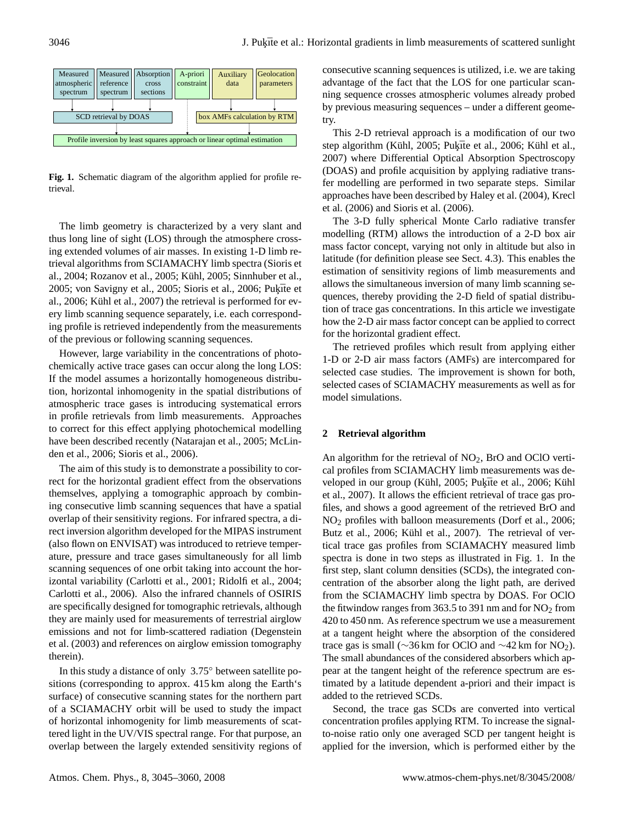

<span id="page-1-0"></span>**Fig. 1.** Schematic diagram of the algorithm applied for profile retrieval.

The limb geometry is characterized by a very slant and thus long line of sight (LOS) through the atmosphere crossing extended volumes of air masses. In existing 1-D limb retrieval algorithms from SCIAMACHY limb spectra [\(Sioris et](#page-15-2) [al.,](#page-15-2) [2004;](#page-15-2) [Rozanov et al.,](#page-15-3) [2005;](#page-15-4) Kühl, 2005; [Sinnhuber et al.,](#page-15-5) [2005;](#page-15-6) [von Savigny et al.,](#page-15-6) 2005; [Sioris et al.,](#page-15-7) [2006;](#page-15-7) Pukūte et [al.,](#page-15-8)  $2006$ ; Kühl et al.,  $2007$ ) the retrieval is performed for every limb scanning sequence separately, i.e. each corresponding profile is retrieved independently from the measurements of the previous or following scanning sequences.

However, large variability in the concentrations of photochemically active trace gases can occur along the long LOS: If the model assumes a horizontally homogeneous distribution, horizontal inhomogenity in the spatial distributions of atmospheric trace gases is introducing systematical errors in profile retrievals from limb measurements. Approaches to correct for this effect applying photochemical modelling have been described recently [\(Natarajan et al.,](#page-15-10) [2005;](#page-15-10) [McLin](#page-15-11)[den et al.,](#page-15-11) [2006;](#page-15-11) [Sioris et al.,](#page-15-7) [2006\)](#page-15-7).

The aim of this study is to demonstrate a possibility to correct for the horizontal gradient effect from the observations themselves, applying a tomographic approach by combining consecutive limb scanning sequences that have a spatial overlap of their sensitivity regions. For infrared spectra, a direct inversion algorithm developed for the MIPAS instrument (also flown on ENVISAT) was introduced to retrieve temperature, pressure and trace gases simultaneously for all limb scanning sequences of one orbit taking into account the horizontal variability [\(Carlotti et al.,](#page-14-3) [2001;](#page-14-3) [Ridolfi et al.,](#page-15-12) [2004;](#page-15-12) [Carlotti et al.,](#page-14-4) [2006\)](#page-14-4). Also the infrared channels of OSIRIS are specifically designed for tomographic retrievals, although they are mainly used for measurements of terrestrial airglow emissions and not for limb-scattered radiation [\(Degenstein](#page-14-5) [et al.](#page-14-5) [\(2003\)](#page-14-5) and references on airglow emission tomography therein).

In this study a distance of only 3.75◦ between satellite positions (corresponding to approx. 415 km along the Earth's surface) of consecutive scanning states for the northern part of a SCIAMACHY orbit will be used to study the impact of horizontal inhomogenity for limb measurements of scattered light in the UV/VIS spectral range. For that purpose, an overlap between the largely extended sensitivity regions of consecutive scanning sequences is utilized, i.e. we are taking advantage of the fact that the LOS for one particular scanning sequence crosses atmospheric volumes already probed by previous measuring sequences – under a different geometry.

This 2-D retrieval approach is a modification of our two step algorithm (Kühl, [2005;](#page-15-4) Pukīte et al., [2006;](#page-15-8) Kühl et al., [2007\)](#page-15-9) where Differential Optical Absorption Spectroscopy (DOAS) and profile acquisition by applying radiative transfer modelling are performed in two separate steps. Similar approaches have been described by [Haley et al.](#page-14-6) [\(2004\)](#page-14-6), [Krecl](#page-14-7) [et al.](#page-14-7) [\(2006\)](#page-14-7) and [Sioris et al.](#page-15-7) [\(2006\)](#page-15-7).

The 3-D fully spherical Monte Carlo radiative transfer modelling (RTM) allows the introduction of a 2-D box air mass factor concept, varying not only in altitude but also in latitude (for definition please see Sect. [4.3\)](#page-6-0). This enables the estimation of sensitivity regions of limb measurements and allows the simultaneous inversion of many limb scanning sequences, thereby providing the 2-D field of spatial distribution of trace gas concentrations. In this article we investigate how the 2-D air mass factor concept can be applied to correct for the horizontal gradient effect.

The retrieved profiles which result from applying either 1-D or 2-D air mass factors (AMFs) are intercompared for selected case studies. The improvement is shown for both, selected cases of SCIAMACHY measurements as well as for model simulations.

## **2 Retrieval algorithm**

An algorithm for the retrieval of  $NO<sub>2</sub>$ , BrO and OClO vertical profiles from SCIAMACHY limb measurements was de-veloped in our group (Kühl, [2005;](#page-15-4) Pukīte et al., [2006;](#page-15-8) Kühl [et al.,](#page-15-9) [2007\)](#page-15-9). It allows the efficient retrieval of trace gas profiles, and shows a good agreement of the retrieved BrO and NO<sup>2</sup> profiles with balloon measurements [\(Dorf et al.,](#page-14-8) [2006;](#page-14-8) [Butz et al.,](#page-14-9) [2006;](#page-14-9) Kühl et al., [2007\)](#page-15-9). The retrieval of vertical trace gas profiles from SCIAMACHY measured limb spectra is done in two steps as illustrated in Fig. [1.](#page-1-0) In the first step, slant column densities (SCDs), the integrated concentration of the absorber along the light path, are derived from the SCIAMACHY limb spectra by DOAS. For OClO the fitwindow ranges from 363.5 to 391 nm and for  $NO<sub>2</sub>$  from 420 to 450 nm. As reference spectrum we use a measurement at a tangent height where the absorption of the considered trace gas is small ( $\sim$ 36 km for OClO and  $\sim$ 42 km for NO<sub>2</sub>). The small abundances of the considered absorbers which appear at the tangent height of the reference spectrum are estimated by a latitude dependent a-priori and their impact is added to the retrieved SCDs.

Second, the trace gas SCDs are converted into vertical concentration profiles applying RTM. To increase the signalto-noise ratio only one averaged SCD per tangent height is applied for the inversion, which is performed either by the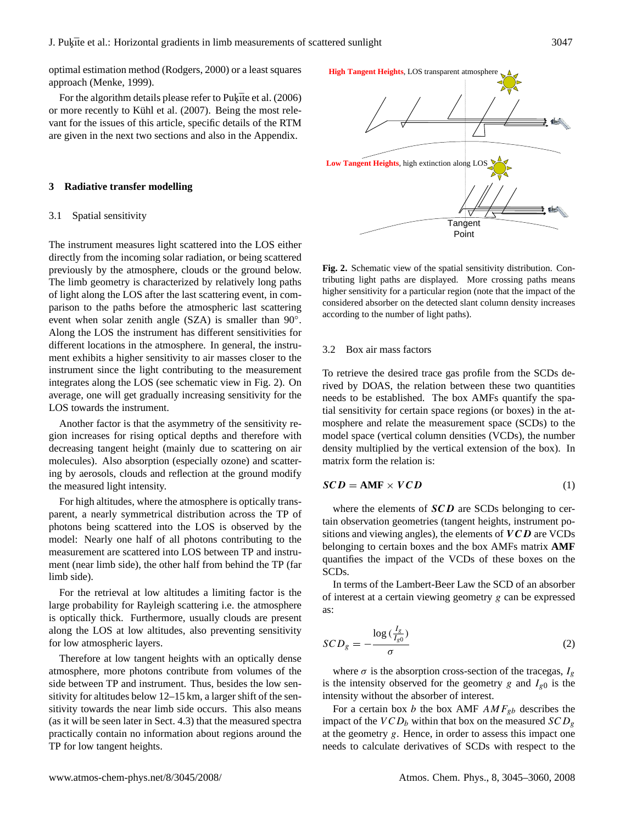optimal estimation method [\(Rodgers,](#page-15-13) [2000\)](#page-15-13) or a least squares approach [\(Menke,](#page-15-14) [1999\)](#page-15-14).

For the algorithm details please refer to Puk $\bar{t}$ te et al. [\(2006\)](#page-15-8) or more recently to Kühl et al. [\(2007\)](#page-15-9). Being the most relevant for the issues of this article, specific details of the RTM are given in the next two sections and also in the Appendix.

## **3 Radiative transfer modelling**

#### 3.1 Spatial sensitivity

The instrument measures light scattered into the LOS either directly from the incoming solar radiation, or being scattered previously by the atmosphere, clouds or the ground below. The limb geometry is characterized by relatively long paths of light along the LOS after the last scattering event, in comparison to the paths before the atmospheric last scattering event when solar zenith angle  $(SZA)$  is smaller than  $90^\circ$ . Along the LOS the instrument has different sensitivities for different locations in the atmosphere. In general, the instrument exhibits a higher sensitivity to air masses closer to the instrument since the light contributing to the measurement integrates along the LOS (see schematic view in Fig. [2\)](#page-2-0). On average, one will get gradually increasing sensitivity for the LOS towards the instrument.

Another factor is that the asymmetry of the sensitivity region increases for rising optical depths and therefore with decreasing tangent height (mainly due to scattering on air molecules). Also absorption (especially ozone) and scattering by aerosols, clouds and reflection at the ground modify the measured light intensity.

For high altitudes, where the atmosphere is optically transparent, a nearly symmetrical distribution across the TP of photons being scattered into the LOS is observed by the model: Nearly one half of all photons contributing to the measurement are scattered into LOS between TP and instrument (near limb side), the other half from behind the TP (far limb side).

For the retrieval at low altitudes a limiting factor is the large probability for Rayleigh scattering i.e. the atmosphere is optically thick. Furthermore, usually clouds are present along the LOS at low altitudes, also preventing sensitivity for low atmospheric layers.

Therefore at low tangent heights with an optically dense atmosphere, more photons contribute from volumes of the side between TP and instrument. Thus, besides the low sensitivity for altitudes below 12–15 km, a larger shift of the sensitivity towards the near limb side occurs. This also means (as it will be seen later in Sect. [4.3\)](#page-6-0) that the measured spectra practically contain no information about regions around the TP for low tangent heights.



<span id="page-2-0"></span>**Fig. 2.** Schematic view of the spatial sensitivity distribution. Contributing light paths are displayed. More crossing paths means higher sensitivity for a particular region (note that the impact of the considered absorber on the detected slant column density increases according to the number of light paths).

### <span id="page-2-1"></span>3.2 Box air mass factors

To retrieve the desired trace gas profile from the SCDs derived by DOAS, the relation between these two quantities needs to be established. The box AMFs quantify the spatial sensitivity for certain space regions (or boxes) in the atmosphere and relate the measurement space (SCDs) to the model space (vertical column densities (VCDs), the number density multiplied by the vertical extension of the box). In matrix form the relation is:

<span id="page-2-3"></span>
$$
SCD = AMF \times VCD \tag{1}
$$

where the elements of  $SCD$  are  $SCDs$  belonging to certain observation geometries (tangent heights, instrument positions and viewing angles), the elements of  $VCD$  are VCDs belonging to certain boxes and the box AMFs matrix **AMF** quantifies the impact of the VCDs of these boxes on the SCDs.

In terms of the Lambert-Beer Law the SCD of an absorber of interest at a certain viewing geometry g can be expressed as:

<span id="page-2-2"></span>
$$
SCD_g = -\frac{\log\left(\frac{I_g}{I_{g0}}\right)}{\sigma} \tag{2}
$$

where  $\sigma$  is the absorption cross-section of the tracegas,  $I_g$ is the intensity observed for the geometry g and  $I_{g0}$  is the intensity without the absorber of interest.

For a certain box b the box AMF  $AMF_{gb}$  describes the impact of the  $VCD_b$  within that box on the measured  $SCD<sub>g</sub>$ at the geometry g. Hence, in order to assess this impact one needs to calculate derivatives of SCDs with respect to the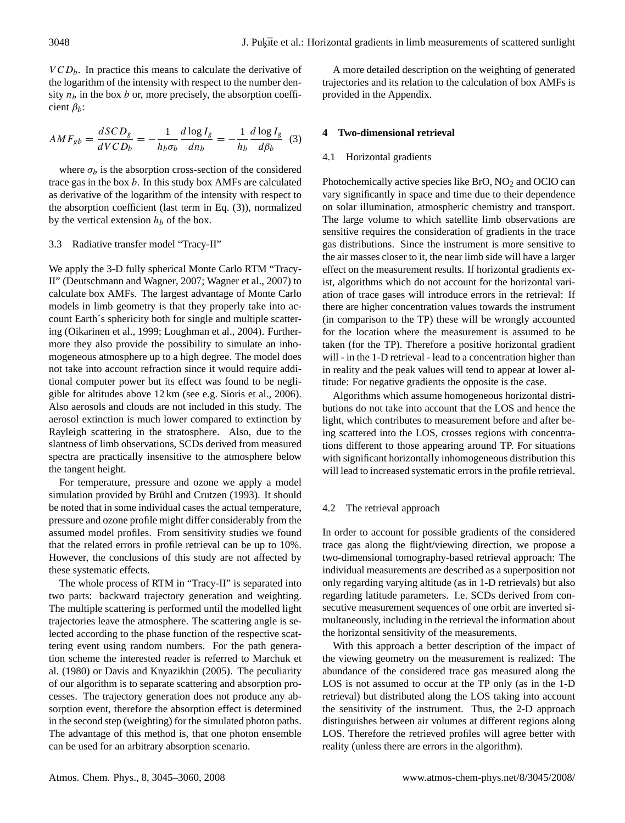$VCD<sub>b</sub>$ . In practice this means to calculate the derivative of the logarithm of the intensity with respect to the number density  $n_b$  in the box b or, more precisely, the absorption coefficient  $\beta_b$ :

<span id="page-3-0"></span>
$$
AMF_{gb} = \frac{dSCD_g}{dVCD_b} = -\frac{1}{h_b\sigma_b} \frac{d\log I_g}{dn_b} = -\frac{1}{h_b} \frac{d\log I_g}{d\beta_b} \tag{3}
$$

where  $\sigma_b$  is the absorption cross-section of the considered trace gas in the box  $b$ . In this study box AMFs are calculated as derivative of the logarithm of the intensity with respect to the absorption coefficient (last term in Eq. [\(3\)](#page-3-0)), normalized by the vertical extension  $h_b$  of the box.

## <span id="page-3-2"></span>3.3 Radiative transfer model "Tracy-II"

We apply the 3-D fully spherical Monte Carlo RTM "Tracy-II" [\(Deutschmann and Wagner,](#page-14-10) [2007;](#page-14-10) [Wagner et al.,](#page-15-15) [2007\)](#page-15-15) to calculate box AMFs. The largest advantage of Monte Carlo models in limb geometry is that they properly take into account Earth´s sphericity both for single and multiple scattering [\(Oikarinen et al.,](#page-15-16) [1999;](#page-15-16) [Loughman et al.,](#page-15-17) [2004\)](#page-15-17). Furthermore they also provide the possibility to simulate an inhomogeneous atmosphere up to a high degree. The model does not take into account refraction since it would require additional computer power but its effect was found to be negligible for altitudes above 12 km (see e.g. [Sioris et al.,](#page-15-7) [2006\)](#page-15-7). Also aerosols and clouds are not included in this study. The aerosol extinction is much lower compared to extinction by Rayleigh scattering in the stratosphere. Also, due to the slantness of limb observations, SCDs derived from measured spectra are practically insensitive to the atmosphere below the tangent height.

For temperature, pressure and ozone we apply a model simulation provided by Brühl and Crutzen [\(1993\)](#page-14-11). It should be noted that in some individual cases the actual temperature, pressure and ozone profile might differ considerably from the assumed model profiles. From sensitivity studies we found that the related errors in profile retrieval can be up to 10%. However, the conclusions of this study are not affected by these systematic effects.

The whole process of RTM in "Tracy-II" is separated into two parts: backward trajectory generation and weighting. The multiple scattering is performed until the modelled light trajectories leave the atmosphere. The scattering angle is selected according to the phase function of the respective scattering event using random numbers. For the path generation scheme the interested reader is referred to [Marchuk et](#page-15-18) [al.](#page-15-18) [\(1980\)](#page-15-18) or [Davis and Knyazikhin](#page-15-19) [\(2005\)](#page-15-19). The peculiarity of our algorithm is to separate scattering and absorption processes. The trajectory generation does not produce any absorption event, therefore the absorption effect is determined in the second step (weighting) for the simulated photon paths. The advantage of this method is, that one photon ensemble can be used for an arbitrary absorption scenario.

A more detailed description on the weighting of generated trajectories and its relation to the calculation of box AMFs is provided in the Appendix.

# **4 Two-dimensional retrieval**

# <span id="page-3-1"></span>4.1 Horizontal gradients

Photochemically active species like BrO,  $NO<sub>2</sub>$  and OClO can vary significantly in space and time due to their dependence on solar illumination, atmospheric chemistry and transport. The large volume to which satellite limb observations are sensitive requires the consideration of gradients in the trace gas distributions. Since the instrument is more sensitive to the air masses closer to it, the near limb side will have a larger effect on the measurement results. If horizontal gradients exist, algorithms which do not account for the horizontal variation of trace gases will introduce errors in the retrieval: If there are higher concentration values towards the instrument (in comparison to the TP) these will be wrongly accounted for the location where the measurement is assumed to be taken (for the TP). Therefore a positive horizontal gradient will - in the 1-D retrieval - lead to a concentration higher than in reality and the peak values will tend to appear at lower altitude: For negative gradients the opposite is the case.

Algorithms which assume homogeneous horizontal distributions do not take into account that the LOS and hence the light, which contributes to measurement before and after being scattered into the LOS, crosses regions with concentrations different to those appearing around TP. For situations with significant horizontally inhomogeneous distribution this will lead to increased systematic errors in the profile retrieval.

# 4.2 The retrieval approach

In order to account for possible gradients of the considered trace gas along the flight/viewing direction, we propose a two-dimensional tomography-based retrieval approach: The individual measurements are described as a superposition not only regarding varying altitude (as in 1-D retrievals) but also regarding latitude parameters. I.e. SCDs derived from consecutive measurement sequences of one orbit are inverted simultaneously, including in the retrieval the information about the horizontal sensitivity of the measurements.

With this approach a better description of the impact of the viewing geometry on the measurement is realized: The abundance of the considered trace gas measured along the LOS is not assumed to occur at the TP only (as in the 1-D retrieval) but distributed along the LOS taking into account the sensitivity of the instrument. Thus, the 2-D approach distinguishes between air volumes at different regions along LOS. Therefore the retrieved profiles will agree better with reality (unless there are errors in the algorithm).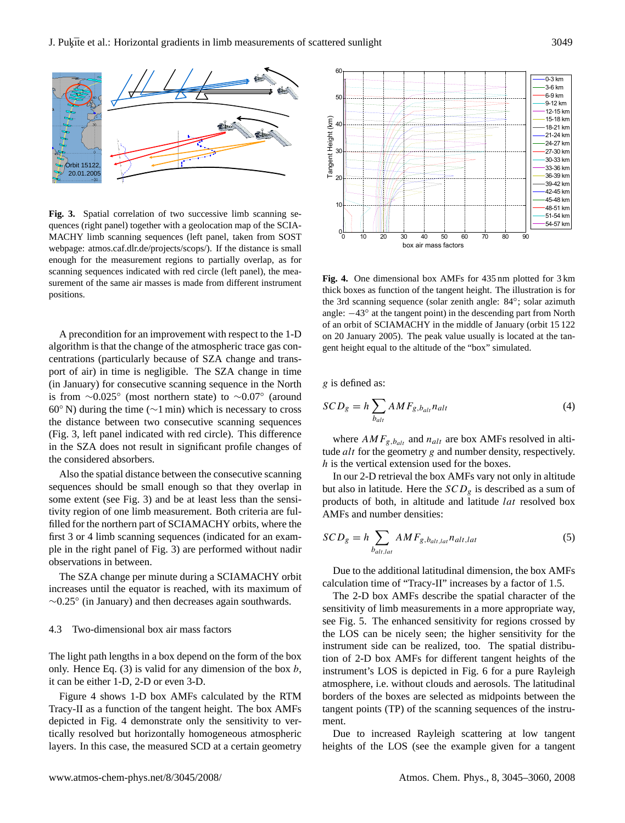

<span id="page-4-0"></span>**Fig. 3.** Spatial correlation of two successive limb scanning sequences (right panel) together with a geolocation map of the SCIA-MACHY limb scanning sequences (left panel, taken from SOST webpage: [atmos.caf.dlr.de/projects/scops/\)](atmos.caf.dlr.de/projects/scops/). If the distance is small enough for the measurement regions to partially overlap, as for scanning sequences indicated with red circle (left panel), the measurement of the same air masses is made from different instrument positions.

A precondition for an improvement with respect to the 1-D algorithm is that the change of the atmospheric trace gas concentrations (particularly because of SZA change and transport of air) in time is negligible. The SZA change in time (in January) for consecutive scanning sequence in the North is from  $\sim$ 0.025° (most northern state) to  $\sim$ 0.07° (around 60 $\degree$  N) during the time ( $\sim$ 1 min) which is necessary to cross the distance between two consecutive scanning sequences (Fig. [3,](#page-4-0) left panel indicated with red circle). This difference in the SZA does not result in significant profile changes of the considered absorbers.

Also the spatial distance between the consecutive scanning sequences should be small enough so that they overlap in some extent (see Fig. [3\)](#page-4-0) and be at least less than the sensitivity region of one limb measurement. Both criteria are fulfilled for the northern part of SCIAMACHY orbits, where the first 3 or 4 limb scanning sequences (indicated for an example in the right panel of Fig. [3\)](#page-4-0) are performed without nadir observations in between.

The SZA change per minute during a SCIAMACHY orbit increases until the equator is reached, with its maximum of ∼0.25◦ (in January) and then decreases again southwards.

## 4.3 Two-dimensional box air mass factors

The light path lengths in a box depend on the form of the box only. Hence Eq.  $(3)$  is valid for any dimension of the box b, it can be either 1-D, 2-D or even 3-D.

Figure [4](#page-4-1) shows 1-D box AMFs calculated by the RTM Tracy-II as a function of the tangent height. The box AMFs depicted in Fig. [4](#page-4-1) demonstrate only the sensitivity to vertically resolved but horizontally homogeneous atmospheric layers. In this case, the measured SCD at a certain geometry



<span id="page-4-1"></span>**Fig. 4.** One dimensional box AMFs for 435 nm plotted for 3 km thick boxes as function of the tangent height. The illustration is for the 3rd scanning sequence (solar zenith angle: 84◦ ; solar azimuth angle: −43◦ at the tangent point) in the descending part from North of an orbit of SCIAMACHY in the middle of January (orbit 15 122 on 20 January 2005). The peak value usually is located at the tangent height equal to the altitude of the "box" simulated.

g is defined as:

$$
SCD_g = h \sum_{b_{alt}} AMF_{g, b_{alt}} n_{alt}
$$
\n(4)

where  $AMF_{g,b_{alt}}$  and  $n_{alt}$  are box AMFs resolved in altitude *alt* for the geometry g and number density, respectively. h is the vertical extension used for the boxes.

In our 2-D retrieval the box AMFs vary not only in altitude but also in latitude. Here the  $SCD<sub>g</sub>$  is described as a sum of products of both, in altitude and latitude lat resolved box AMFs and number densities:

$$
SCD_g = h \sum_{b_{alt,lat}} AMF_{g, b_{alt,lat}} n_{alt,lat}
$$
 (5)

Due to the additional latitudinal dimension, the box AMFs calculation time of "Tracy-II" increases by a factor of 1.5.

The 2-D box AMFs describe the spatial character of the sensitivity of limb measurements in a more appropriate way, see Fig. [5.](#page-5-0) The enhanced sensitivity for regions crossed by the LOS can be nicely seen; the higher sensitivity for the instrument side can be realized, too. The spatial distribution of 2-D box AMFs for different tangent heights of the instrument's LOS is depicted in Fig. [6](#page-6-0) for a pure Rayleigh atmosphere, i.e. without clouds and aerosols. The latitudinal borders of the boxes are selected as midpoints between the tangent points (TP) of the scanning sequences of the instrument.

Due to increased Rayleigh scattering at low tangent heights of the LOS (see the example given for a tangent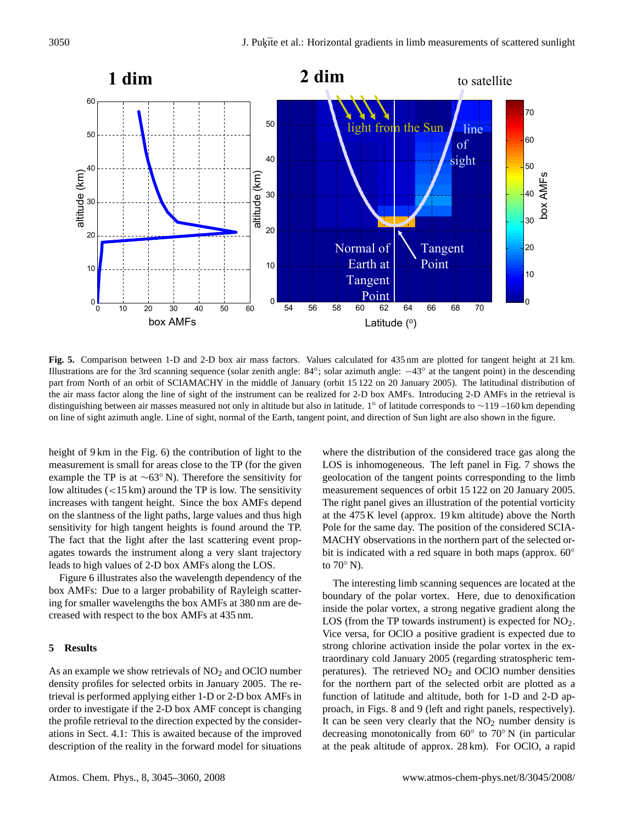

<span id="page-5-0"></span>**Fig. 5.** Comparison between 1-D and 2-D box air mass factors. Values calculated for 435 nm are plotted for tangent height at 21 km. Illustrations are for the 3rd scanning sequence (solar zenith angle: 84°; solar azimuth angle: −43° at the tangent point) in the descending part from North of an orbit of SCIAMACHY in the middle of January (orbit 15 122 on 20 January 2005). The latitudinal distribution of the air mass factor along the line of sight of the instrument can be realized for 2-D box AMFs. Introducing 2-D AMFs in the retrieval is distinguishing between air masses measured not only in altitude but also in latitude. 1◦ of latitude corresponds to ∼119 –160 km depending on line of sight azimuth angle. Line of sight, normal of the Earth, tangent point, and direction of Sun light are also shown in the figure.

height of 9 km in the Fig. [6\)](#page-6-0) the contribution of light to the measurement is small for areas close to the TP (for the given example the TP is at ∼63◦ N). Therefore the sensitivity for low altitudes  $\left($  < 15 km) around the TP is low. The sensitivity increases with tangent height. Since the box AMFs depend on the slantness of the light paths, large values and thus high sensitivity for high tangent heights is found around the TP. The fact that the light after the last scattering event propagates towards the instrument along a very slant trajectory leads to high values of 2-D box AMFs along the LOS.

Figure [6](#page-6-0) illustrates also the wavelength dependency of the box AMFs: Due to a larger probability of Rayleigh scattering for smaller wavelengths the box AMFs at 380 nm are decreased with respect to the box AMFs at 435 nm.

## **5 Results**

As an example we show retrievals of  $NO<sub>2</sub>$  and  $OClO$  number density profiles for selected orbits in January 2005. The retrieval is performed applying either 1-D or 2-D box AMFs in order to investigate if the 2-D box AMF concept is changing the profile retrieval to the direction expected by the considerations in Sect. [4.1:](#page-3-1) This is awaited because of the improved description of the reality in the forward model for situations

where the distribution of the considered trace gas along the LOS is inhomogeneous. The left panel in Fig. [7](#page-7-0) shows the geolocation of the tangent points corresponding to the limb measurement sequences of orbit 15 122 on 20 January 2005. The right panel gives an illustration of the potential vorticity at the 475 K level (approx. 19 km altitude) above the North Pole for the same day. The position of the considered SCIA-MACHY observations in the northern part of the selected orbit is indicated with a red square in both maps (approx. 60° to 70◦ N).

The interesting limb scanning sequences are located at the boundary of the polar vortex. Here, due to denoxification inside the polar vortex, a strong negative gradient along the LOS (from the TP towards instrument) is expected for  $NO<sub>2</sub>$ . Vice versa, for OClO a positive gradient is expected due to strong chlorine activation inside the polar vortex in the extraordinary cold January 2005 (regarding stratospheric temperatures). The retrieved  $NO<sub>2</sub>$  and OClO number densities for the northern part of the selected orbit are plotted as a function of latitude and altitude, both for 1-D and 2-D approach, in Figs. [8](#page-8-0) and [9](#page-8-1) (left and right panels, respectively). It can be seen very clearly that the  $NO<sub>2</sub>$  number density is decreasing monotonically from 60◦ to 70◦ N (in particular at the peak altitude of approx. 28 km). For OClO, a rapid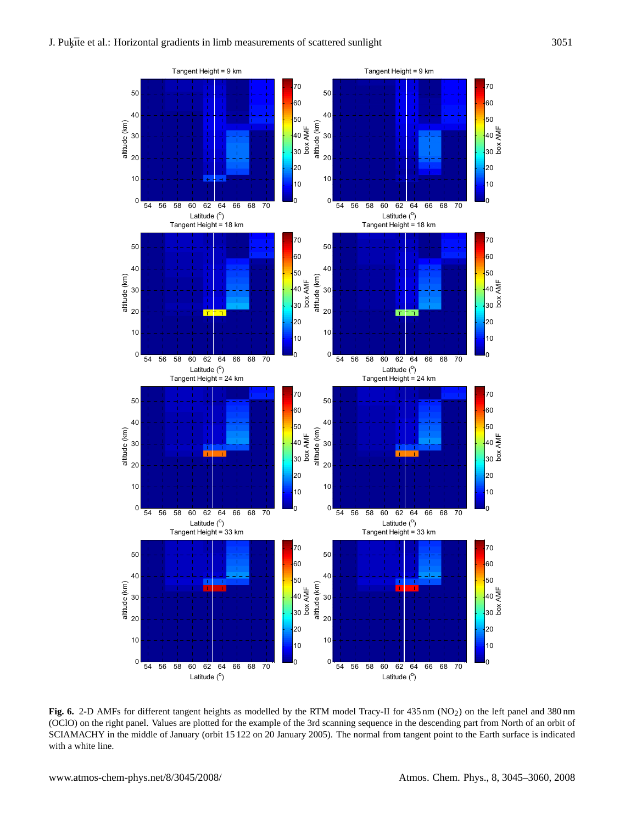

<span id="page-6-0"></span>**Fig. 6.** 2-D AMFs for different tangent heights as modelled by the RTM model Tracy-II for 435 nm (NO2) on the left panel and 380 nm (OClO) on the right panel. Values are plotted for the example of the 3rd scanning sequence in the descending part from North of an orbit of SCIAMACHY in the middle of January (orbit 15 122 on 20 January 2005). The normal from tangent point to the Earth surface is indicated with a white line.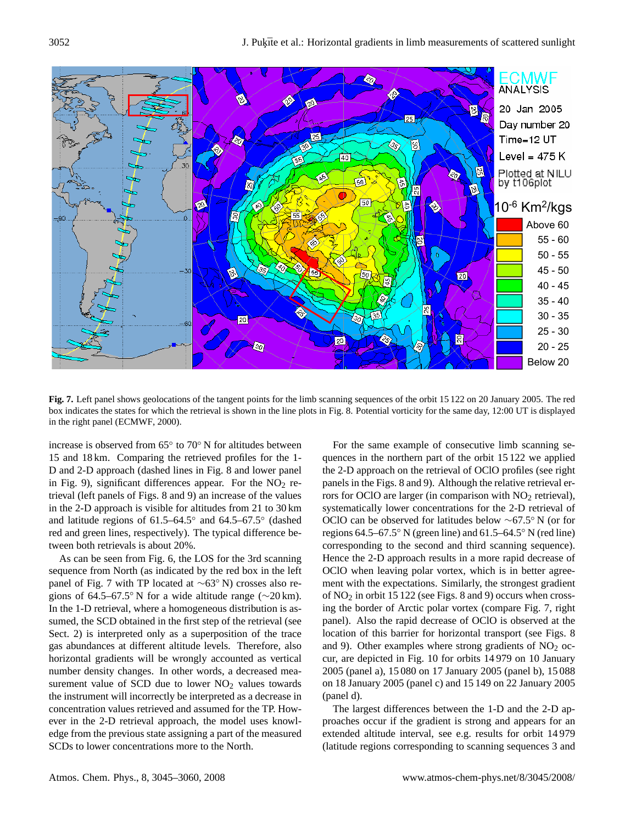

<span id="page-7-0"></span>**Fig. 7.** Left panel shows geolocations of the tangent points for the limb scanning sequences of the orbit 15 122 on 20 January 2005. The red box indicates the states for which the retrieval is shown in the line plots in Fig. [8.](#page-8-0) Potential vorticity for the same day, 12:00 UT is displayed in the right panel [\(ECMWF,](#page-14-12) [2000\)](#page-14-12).

increase is observed from 65◦ to 70◦ N for altitudes between 15 and 18 km. Comparing the retrieved profiles for the 1- D and 2-D approach (dashed lines in Fig. [8](#page-8-0) and lower panel in Fig. [9\)](#page-8-1), significant differences appear. For the  $NO<sub>2</sub>$  retrieval (left panels of Figs. [8](#page-8-0) and [9\)](#page-8-1) an increase of the values in the 2-D approach is visible for altitudes from 21 to 30 km and latitude regions of 61.5–64.5◦ and 64.5–67.5◦ (dashed red and green lines, respectively). The typical difference between both retrievals is about 20%.

As can be seen from Fig. [6,](#page-6-0) the LOS for the 3rd scanning sequence from North (as indicated by the red box in the left panel of Fig. [7](#page-7-0) with TP located at ∼63◦ N) crosses also regions of 64.5–67.5◦ N for a wide altitude range (∼20 km). In the 1-D retrieval, where a homogeneous distribution is assumed, the SCD obtained in the first step of the retrieval (see Sect. 2) is interpreted only as a superposition of the trace gas abundances at different altitude levels. Therefore, also horizontal gradients will be wrongly accounted as vertical number density changes. In other words, a decreased measurement value of SCD due to lower  $NO<sub>2</sub>$  values towards the instrument will incorrectly be interpreted as a decrease in concentration values retrieved and assumed for the TP. However in the 2-D retrieval approach, the model uses knowledge from the previous state assigning a part of the measured SCDs to lower concentrations more to the North.

For the same example of consecutive limb scanning sequences in the northern part of the orbit 15 122 we applied the 2-D approach on the retrieval of OClO profiles (see right panels in the Figs. [8](#page-8-0) and [9\)](#page-8-1). Although the relative retrieval errors for OClO are larger (in comparison with  $NO<sub>2</sub>$  retrieval), systematically lower concentrations for the 2-D retrieval of OClO can be observed for latitudes below ∼67.5◦ N (or for regions  $64.5–67.5°$  N (green line) and  $61.5–64.5°$  N (red line) corresponding to the second and third scanning sequence). Hence the 2-D approach results in a more rapid decrease of OClO when leaving polar vortex, which is in better agreement with the expectations. Similarly, the strongest gradient of NO<sup>2</sup> in orbit 15 122 (see Figs. [8](#page-8-0) and [9\)](#page-8-1) occurs when crossing the border of Arctic polar vortex (compare Fig. [7,](#page-7-0) right panel). Also the rapid decrease of OClO is observed at the location of this barrier for horizontal transport (see Figs. [8](#page-8-0) and [9\)](#page-8-1). Other examples where strong gradients of  $NO<sub>2</sub>$  occur, are depicted in Fig. [10](#page-9-0) for orbits 14 979 on 10 January 2005 (panel a), 15 080 on 17 January 2005 (panel b), 15 088 on 18 January 2005 (panel c) and 15 149 on 22 January 2005 (panel d).

The largest differences between the 1-D and the 2-D approaches occur if the gradient is strong and appears for an extended altitude interval, see e.g. results for orbit 14 979 (latitude regions corresponding to scanning sequences 3 and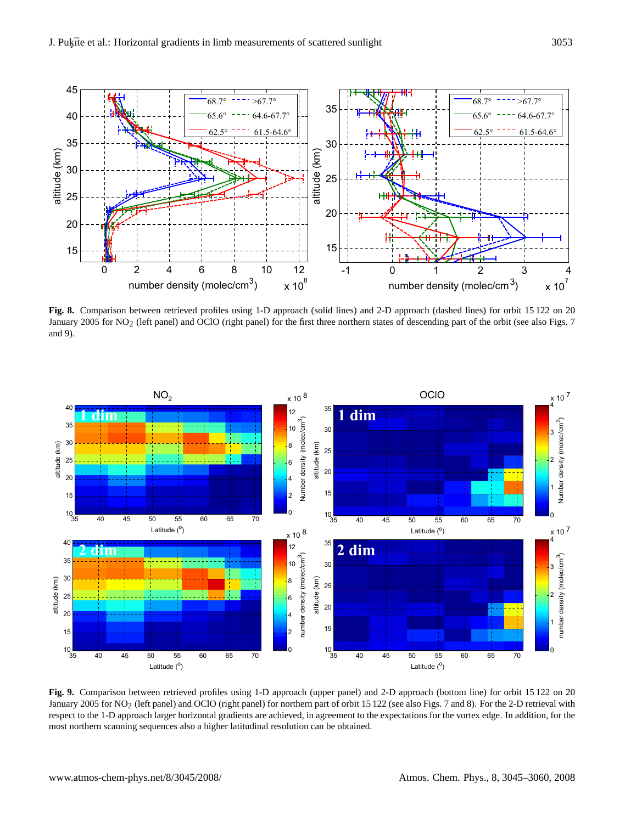

<span id="page-8-0"></span>**Fig. 8.** Comparison between retrieved profiles using 1-D approach (solid lines) and 2-D approach (dashed lines) for orbit 15 122 on 20 January 2005 for NO<sub>2</sub> (left panel) and OClO (right panel) for the first three northern states of descending part of the orbit (see also Figs. [7](#page-7-0) and [9\)](#page-8-1).



<span id="page-8-1"></span>**Fig. 9.** Comparison between retrieved profiles using 1-D approach (upper panel) and 2-D approach (bottom line) for orbit 15 122 on 20 January 2005 for NO<sub>2</sub> (left panel) and OClO (right panel) for northern part of orbit 15 122 (see also Figs. [7](#page-7-0) and [8\)](#page-8-0). For the 2-D retrieval with respect to the 1-D approach larger horizontal gradients are achieved, in agreement to the expectations for the vortex edge. In addition, for the most northern scanning sequences also a higher latitudinal resolution can be obtained.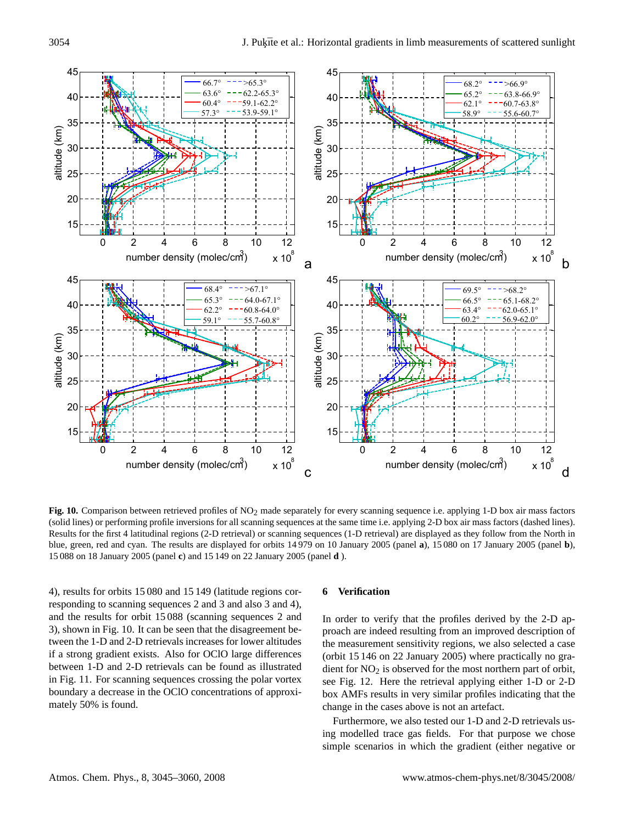

<span id="page-9-0"></span>Fig. 10. Comparison between retrieved profiles of NO<sub>2</sub> made separately for every scanning sequence i.e. applying 1-D box air mass factors (solid lines) or performing profile inversions for all scanning sequences at the same time i.e. applying 2-D box air mass factors (dashed lines). Results for the first 4 latitudinal regions (2-D retrieval) or scanning sequences (1-D retrieval) are displayed as they follow from the North in blue, green, red and cyan. The results are displayed for orbits 14 979 on 10 January 2005 (panel **a**), 15 080 on 17 January 2005 (panel **b**), 15 088 on 18 January 2005 (panel **c**) and 15 149 on 22 January 2005 (panel **d** ).

4), results for orbits 15 080 and 15 149 (latitude regions corresponding to scanning sequences 2 and 3 and also 3 and 4), and the results for orbit 15 088 (scanning sequences 2 and 3), shown in Fig. [10.](#page-9-0) It can be seen that the disagreement between the 1-D and 2-D retrievals increases for lower altitudes if a strong gradient exists. Also for OClO large differences between 1-D and 2-D retrievals can be found as illustrated in Fig. [11.](#page-10-0) For scanning sequences crossing the polar vortex boundary a decrease in the OClO concentrations of approximately 50% is found.

## **6 Verification**

In order to verify that the profiles derived by the 2-D approach are indeed resulting from an improved description of the measurement sensitivity regions, we also selected a case (orbit 15 146 on 22 January 2005) where practically no gradient for  $NO<sub>2</sub>$  is observed for the most northern part of orbit, see Fig. [12.](#page-11-0) Here the retrieval applying either 1-D or 2-D box AMFs results in very similar profiles indicating that the change in the cases above is not an artefact.

Furthermore, we also tested our 1-D and 2-D retrievals using modelled trace gas fields. For that purpose we chose simple scenarios in which the gradient (either negative or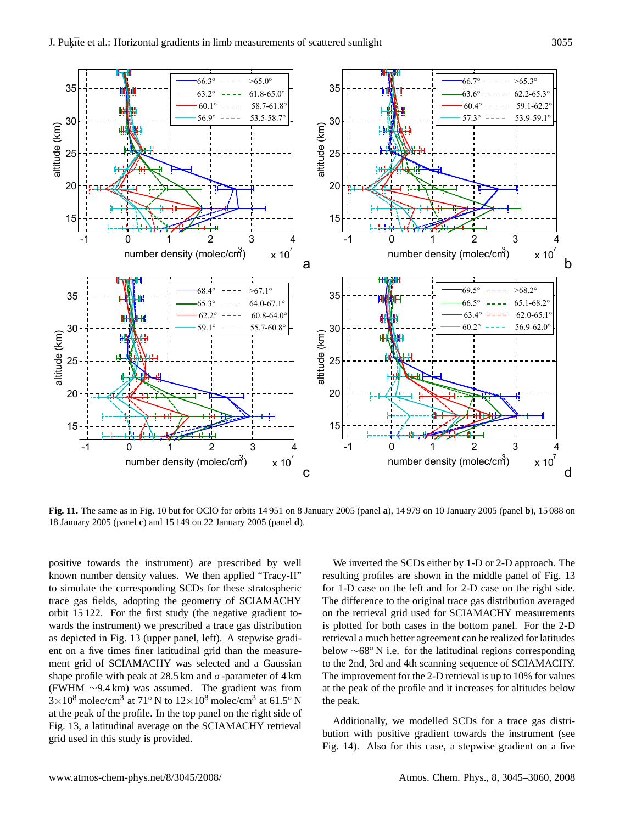

<span id="page-10-0"></span>**Fig. 11.** The same as in Fig. [10](#page-9-0) but for OClO for orbits 14 951 on 8 January 2005 (panel **a**), 14 979 on 10 January 2005 (panel **b**), 15 088 on 18 January 2005 (panel **c**) and 15 149 on 22 January 2005 (panel **d**).

positive towards the instrument) are prescribed by well known number density values. We then applied "Tracy-II" to simulate the corresponding SCDs for these stratospheric trace gas fields, adopting the geometry of SCIAMACHY orbit 15 122. For the first study (the negative gradient towards the instrument) we prescribed a trace gas distribution as depicted in Fig. [13](#page-12-0) (upper panel, left). A stepwise gradient on a five times finer latitudinal grid than the measurement grid of SCIAMACHY was selected and a Gaussian shape profile with peak at 28.5 km and  $\sigma$ -parameter of 4 km (FWHM ∼9.4 km) was assumed. The gradient was from  $3 \times 10^8$  molec/cm<sup>3</sup> at 71° N to  $12 \times 10^8$  molec/cm<sup>3</sup> at 61.5° N at the peak of the profile. In the top panel on the right side of Fig. [13,](#page-12-0) a latitudinal average on the SCIAMACHY retrieval grid used in this study is provided.

We inverted the SCDs either by 1-D or 2-D approach. The resulting profiles are shown in the middle panel of Fig. [13](#page-12-0) for 1-D case on the left and for 2-D case on the right side. The difference to the original trace gas distribution averaged on the retrieval grid used for SCIAMACHY measurements is plotted for both cases in the bottom panel. For the 2-D retrieval a much better agreement can be realized for latitudes below ∼68◦ N i.e. for the latitudinal regions corresponding to the 2nd, 3rd and 4th scanning sequence of SCIAMACHY. The improvement for the 2-D retrieval is up to 10% for values at the peak of the profile and it increases for altitudes below the peak.

Additionally, we modelled SCDs for a trace gas distribution with positive gradient towards the instrument (see Fig. [14\)](#page-12-1). Also for this case, a stepwise gradient on a five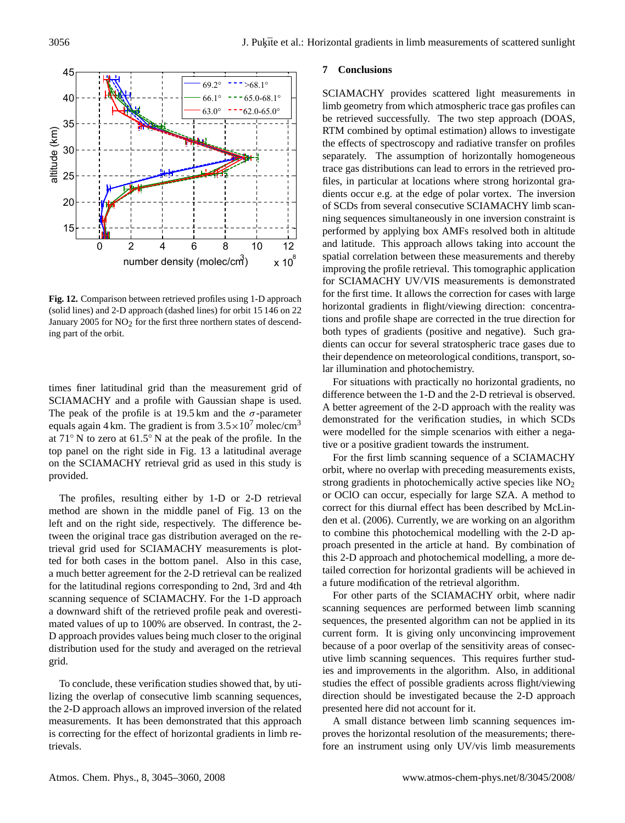

<span id="page-11-0"></span>**Fig. 12.** Comparison between retrieved profiles using 1-D approach (solid lines) and 2-D approach (dashed lines) for orbit 15 146 on 22 January 2005 for  $NO<sub>2</sub>$  for the first three northern states of descending part of the orbit.

times finer latitudinal grid than the measurement grid of SCIAMACHY and a profile with Gaussian shape is used. The peak of the profile is at 19.5 km and the  $\sigma$ -parameter equals again 4 km. The gradient is from  $3.5 \times 10^7$  molec/cm<sup>3</sup> at 71◦ N to zero at 61.5◦ N at the peak of the profile. In the top panel on the right side in Fig. [13](#page-12-0) a latitudinal average on the SCIAMACHY retrieval grid as used in this study is provided.

The profiles, resulting either by 1-D or 2-D retrieval method are shown in the middle panel of Fig. [13](#page-12-0) on the left and on the right side, respectively. The difference between the original trace gas distribution averaged on the retrieval grid used for SCIAMACHY measurements is plotted for both cases in the bottom panel. Also in this case, a much better agreement for the 2-D retrieval can be realized for the latitudinal regions corresponding to 2nd, 3rd and 4th scanning sequence of SCIAMACHY. For the 1-D approach a downward shift of the retrieved profile peak and overestimated values of up to 100% are observed. In contrast, the 2- D approach provides values being much closer to the original distribution used for the study and averaged on the retrieval grid.

To conclude, these verification studies showed that, by utilizing the overlap of consecutive limb scanning sequences, the 2-D approach allows an improved inversion of the related measurements. It has been demonstrated that this approach is correcting for the effect of horizontal gradients in limb retrievals.

# **7 Conclusions**

SCIAMACHY provides scattered light measurements in limb geometry from which atmospheric trace gas profiles can be retrieved successfully. The two step approach (DOAS, RTM combined by optimal estimation) allows to investigate the effects of spectroscopy and radiative transfer on profiles separately. The assumption of horizontally homogeneous trace gas distributions can lead to errors in the retrieved profiles, in particular at locations where strong horizontal gradients occur e.g. at the edge of polar vortex. The inversion of SCDs from several consecutive SCIAMACHY limb scanning sequences simultaneously in one inversion constraint is performed by applying box AMFs resolved both in altitude and latitude. This approach allows taking into account the spatial correlation between these measurements and thereby improving the profile retrieval. This tomographic application for SCIAMACHY UV/VIS measurements is demonstrated for the first time. It allows the correction for cases with large horizontal gradients in flight/viewing direction: concentrations and profile shape are corrected in the true direction for both types of gradients (positive and negative). Such gradients can occur for several stratospheric trace gases due to their dependence on meteorological conditions, transport, solar illumination and photochemistry.

For situations with practically no horizontal gradients, no difference between the 1-D and the 2-D retrieval is observed. A better agreement of the 2-D approach with the reality was demonstrated for the verification studies, in which SCDs were modelled for the simple scenarios with either a negative or a positive gradient towards the instrument.

For the first limb scanning sequence of a SCIAMACHY orbit, where no overlap with preceding measurements exists, strong gradients in photochemically active species like  $NO<sub>2</sub>$ or OClO can occur, especially for large SZA. A method to correct for this diurnal effect has been described by [McLin](#page-15-11)[den et al.](#page-15-11) [\(2006\)](#page-15-11). Currently, we are working on an algorithm to combine this photochemical modelling with the 2-D approach presented in the article at hand. By combination of this 2-D approach and photochemical modelling, a more detailed correction for horizontal gradients will be achieved in a future modification of the retrieval algorithm.

For other parts of the SCIAMACHY orbit, where nadir scanning sequences are performed between limb scanning sequences, the presented algorithm can not be applied in its current form. It is giving only unconvincing improvement because of a poor overlap of the sensitivity areas of consecutive limb scanning sequences. This requires further studies and improvements in the algorithm. Also, in additional studies the effect of possible gradients across flight/viewing direction should be investigated because the 2-D approach presented here did not account for it.

A small distance between limb scanning sequences improves the horizontal resolution of the measurements; therefore an instrument using only UV/vis limb measurements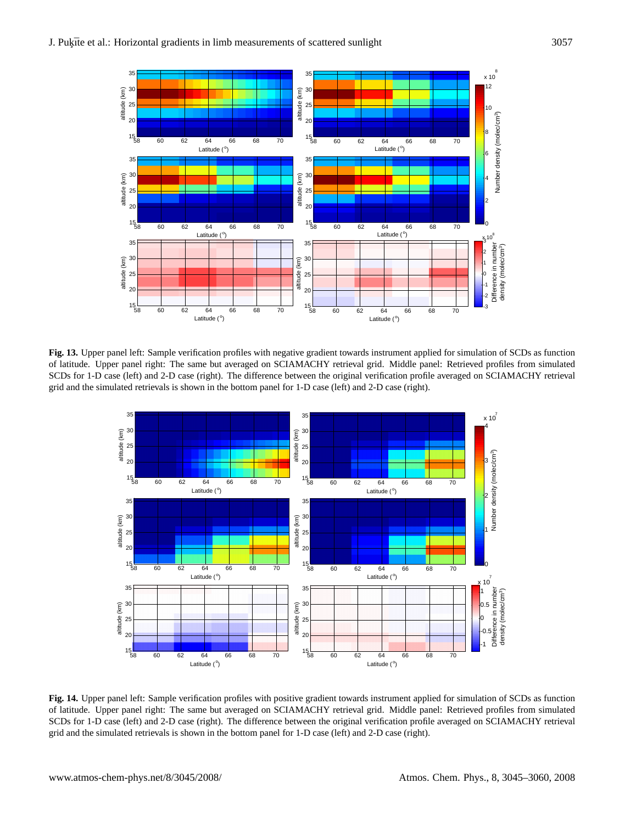

<span id="page-12-0"></span>**Fig. 13.** Upper panel left: Sample verification profiles with negative gradient towards instrument applied for simulation of SCDs as function of latitude. Upper panel right: The same but averaged on SCIAMACHY retrieval grid. Middle panel: Retrieved profiles from simulated SCDs for 1-D case (left) and 2-D case (right). The difference between the original verification profile averaged on SCIAMACHY retrieval grid and the simulated retrievals is shown in the bottom panel for 1-D case (left) and 2-D case (right).



<span id="page-12-1"></span>**Fig. 14.** Upper panel left: Sample verification profiles with positive gradient towards instrument applied for simulation of SCDs as function of latitude. Upper panel right: The same but averaged on SCIAMACHY retrieval grid. Middle panel: Retrieved profiles from simulated SCDs for 1-D case (left) and 2-D case (right). The difference between the original verification profile averaged on SCIAMACHY retrieval grid and the simulated retrievals is shown in the bottom panel for 1-D case (left) and 2-D case (right).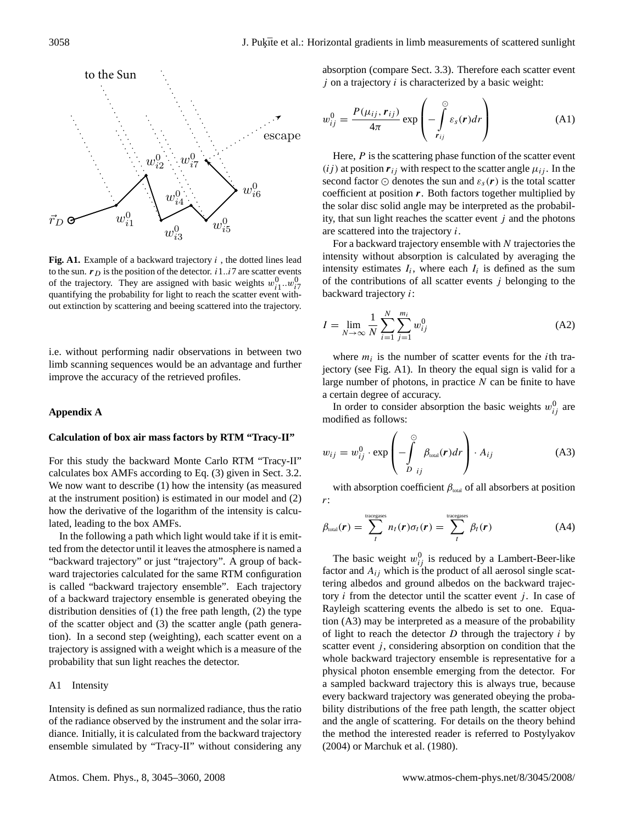

<span id="page-13-0"></span>**Fig. A1.** Example of a backward trajectory *i*, the dotted lines lead to the sun.  $r_D$  is the position of the detector. *i*1.*i*7 are scatter events of the trajectory. They are assigned with basic weights  $w_i^0$  .  $w_{i1}^0$ quantifying the probability for light to reach the scatter event without extinction by scattering and beeing scattered into the trajectory.

i.e. without performing nadir observations in between two limb scanning sequences would be an advantage and further improve the accuracy of the retrieved profiles.

#### **Appendix A**

#### **Calculation of box air mass factors by RTM "Tracy-II"**

For this study the backward Monte Carlo RTM "Tracy-II" calculates box AMFs according to Eq. [\(3\)](#page-3-0) given in Sect. [3.2.](#page-2-1) We now want to describe (1) how the intensity (as measured at the instrument position) is estimated in our model and (2) how the derivative of the logarithm of the intensity is calculated, leading to the box AMFs.

In the following a path which light would take if it is emitted from the detector until it leaves the atmosphere is named a "backward trajectory" or just "trajectory". A group of backward trajectories calculated for the same RTM configuration is called "backward trajectory ensemble". Each trajectory of a backward trajectory ensemble is generated obeying the distribution densities of (1) the free path length, (2) the type of the scatter object and (3) the scatter angle (path generation). In a second step (weighting), each scatter event on a trajectory is assigned with a weight which is a measure of the probability that sun light reaches the detector.

### A1 Intensity

Intensity is defined as sun normalized radiance, thus the ratio of the radiance observed by the instrument and the solar irradiance. Initially, it is calculated from the backward trajectory ensemble simulated by "Tracy-II" without considering any absorption (compare Sect. [3.3\)](#page-3-2). Therefore each scatter event  $j$  on a trajectory  $i$  is characterized by a basic weight:

$$
w_{ij}^0 = \frac{P(\mu_{ij}, r_{ij})}{4\pi} \exp\left(-\int_{r_{ij}}^{\odot} \varepsilon_s(r) dr\right)
$$
 (A1)

Here,  $P$  is the scattering phase function of the scatter event  $(ij)$  at position  $r_{ij}$  with respect to the scatter angle  $\mu_{ij}$ . In the second factor  $\odot$  denotes the sun and  $\varepsilon_s(\mathbf{r})$  is the total scatter coefficient at position  $r$ . Both factors together multiplied by the solar disc solid angle may be interpreted as the probability, that sun light reaches the scatter event  $j$  and the photons are scattered into the trajectory i.

For a backward trajectory ensemble with N trajectories the intensity without absorption is calculated by averaging the intensity estimates  $I_i$ , where each  $I_i$  is defined as the sum of the contributions of all scatter events  $j$  belonging to the backward trajectory i:

<span id="page-13-2"></span>
$$
I = \lim_{N \to \infty} \frac{1}{N} \sum_{i=1}^{N} \sum_{j=1}^{m_i} w_{ij}^0
$$
 (A2)

where  $m_i$  is the number of scatter events for the *i*th trajectory (see Fig. [A1\)](#page-13-0). In theory the equal sign is valid for a large number of photons, in practice  $N$  can be finite to have a certain degree of accuracy.

In order to consider absorption the basic weights  $w_{ij}^0$  are modified as follows:

<span id="page-13-1"></span>
$$
w_{ij} = w_{ij}^{0} \cdot \exp\left(-\int_{D_{ij}}^{\odot} \beta_{\text{total}}(\boldsymbol{r}) d\boldsymbol{r}\right) \cdot A_{ij}
$$
 (A3)

with absorption coefficient  $\beta_{\text{total}}$  of all absorbers at position r:

$$
\beta_{\text{total}}(\boldsymbol{r}) = \sum_{t}^{\text{tracegases}} n_t(\boldsymbol{r}) \sigma_t(\boldsymbol{r}) = \sum_{t}^{\text{tracegases}} \beta_t(\boldsymbol{r}) \tag{A4}
$$

The basic weight  $w_{ij}^0$  is reduced by a Lambert-Beer-like factor and  $A_{ij}$  which is the product of all aerosol single scattering albedos and ground albedos on the backward trajectory  $i$  from the detector until the scatter event  $j$ . In case of Rayleigh scattering events the albedo is set to one. Equation [\(A3\)](#page-13-1) may be interpreted as a measure of the probability of light to reach the detector  $D$  through the trajectory  $i$  by scatter event  $j$ , considering absorption on condition that the whole backward trajectory ensemble is representative for a physical photon ensemble emerging from the detector. For a sampled backward trajectory this is always true, because every backward trajectory was generated obeying the probability distributions of the free path length, the scatter object and the angle of scattering. For details on the theory behind the method the interested reader is referred to [Postylyakov](#page-15-20) [\(2004\)](#page-15-20) or [Marchuk et al.](#page-15-18) [\(1980\)](#page-15-18).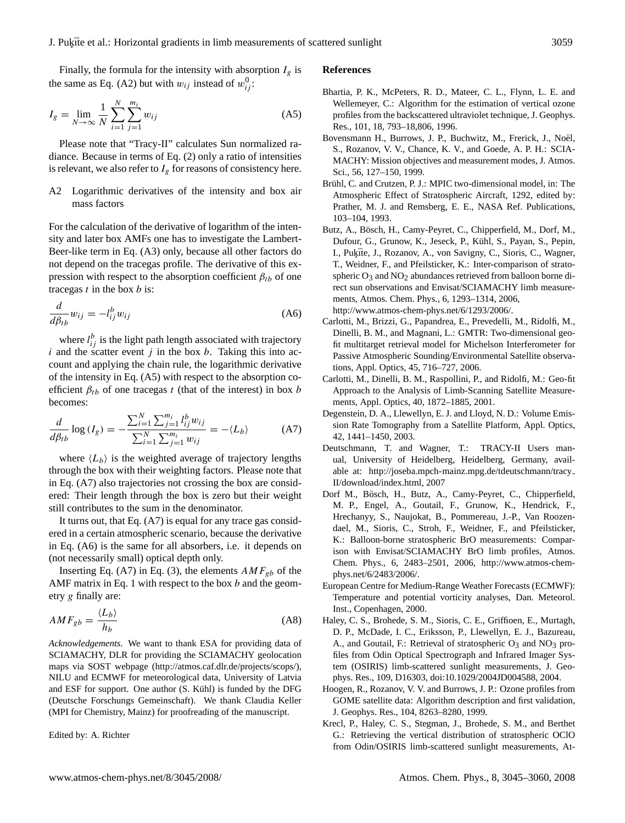Finally, the formula for the intensity with absorption  $I_g$  is the same as Eq. [\(A2\)](#page-13-2) but with  $w_{ij}$  instead of  $w_{ij}^0$ :

<span id="page-14-13"></span>
$$
I_g = \lim_{N \to \infty} \frac{1}{N} \sum_{i=1}^{N} \sum_{j=1}^{m_i} w_{ij}
$$
 (A5)

Please note that "Tracy-II" calculates Sun normalized radiance. Because in terms of Eq. [\(2\)](#page-2-2) only a ratio of intensities is relevant, we also refer to  $I_g$  for reasons of consistency here.

A2 Logarithmic derivatives of the intensity and box air mass factors

For the calculation of the derivative of logarithm of the intensity and later box AMFs one has to investigate the Lambert-Beer-like term in Eq. [\(A3\)](#page-13-1) only, because all other factors do not depend on the tracegas profile. The derivative of this expression with respect to the absorption coefficient  $\beta_{th}$  of one tracegas  $t$  in the box  $b$  is:

<span id="page-14-15"></span>
$$
\frac{d}{d\beta_{tb}}w_{ij} = -l_{ij}^b w_{ij}
$$
 (A6)

where  $l_{ij}^b$  is the light path length associated with trajectory  $i$  and the scatter event  $j$  in the box  $b$ . Taking this into account and applying the chain rule, the logarithmic derivative of the intensity in Eq. [\(A5\)](#page-14-13) with respect to the absorption coefficient  $\beta_{tb}$  of one tracegas t (that of the interest) in box b becomes:

<span id="page-14-14"></span>
$$
\frac{d}{d\beta_{tb}}\log(I_g) = -\frac{\sum_{i=1}^{N} \sum_{j=1}^{m_i} l_{ij}^b w_{ij}}{\sum_{i=1}^{N} \sum_{j=1}^{m_i} w_{ij}} = -\langle L_b \rangle
$$
 (A7)

where  $\langle L_b \rangle$  is the weighted average of trajectory lengths through the box with their weighting factors. Please note that in Eq. [\(A7\)](#page-14-14) also trajectories not crossing the box are considered: Their length through the box is zero but their weight still contributes to the sum in the denominator.

It turns out, that Eq. [\(A7\)](#page-14-14) is equal for any trace gas considered in a certain atmospheric scenario, because the derivative in Eq. [\(A6\)](#page-14-15) is the same for all absorbers, i.e. it depends on (not necessarily small) optical depth only.

Inserting Eq. [\(A7\)](#page-14-14) in Eq. [\(3\)](#page-3-0), the elements  $AMF_{gb}$  of the AMF matrix in Eq. [1](#page-2-3) with respect to the box  $b$  and the geometry g finally are:

$$
AMF_{gb} = \frac{\langle L_b \rangle}{h_b} \tag{A8}
$$

*Acknowledgements.* We want to thank ESA for providing data of SCIAMACHY, DLR for providing the SCIAMACHY geolocation maps via SOST webpage [\(http://atmos.caf.dlr.de/projects/scops/\)](http://atmos.caf.dlr.de/projects/scops/), NILU and ECMWF for meteorological data, University of Latvia and ESF for support. One author (S. Kühl) is funded by the DFG (Deutsche Forschungs Gemeinschaft). We thank Claudia Keller (MPI for Chemistry, Mainz) for proofreading of the manuscript.

Edited by: A. Richter

#### **References**

- <span id="page-14-0"></span>Bhartia, P. K., McPeters, R. D., Mateer, C. L., Flynn, L. E. and Wellemeyer, C.: Algorithm for the estimation of vertical ozone profiles from the backscattered ultraviolet technique, J. Geophys. Res., 101, 18, 793–18,806, 1996.
- <span id="page-14-2"></span>Bovensmann H., Burrows, J. P., Buchwitz, M., Frerick, J., Noël, S., Rozanov, V. V., Chance, K. V., and Goede, A. P. H.: SCIA-MACHY: Mission objectives and measurement modes, J. Atmos. Sci., 56, 127–150, 1999.
- <span id="page-14-11"></span>Brühl, C. and Crutzen, P. J.: MPIC two-dimensional model, in: The Atmospheric Effect of Stratospheric Aircraft, 1292, edited by: Prather, M. J. and Remsberg, E. E., NASA Ref. Publications, 103–104, 1993.
- <span id="page-14-9"></span>Butz, A., Bösch, H., Camy-Peyret, C., Chipperfield, M., Dorf, M., Dufour, G., Grunow, K., Jeseck, P., Kühl, S., Payan, S., Pepin, I., Puķīte, J., Rozanov, A., von Savigny, C., Sioris, C., Wagner, T., Weidner, F., and Pfeilsticker, K.: Inter-comparison of stratospheric  $O_3$  and  $NO_2$  abundances retrieved from balloon borne direct sun observations and Envisat/SCIAMACHY limb measurements, Atmos. Chem. Phys., 6, 1293–1314, 2006, [http://www.atmos-chem-phys.net/6/1293/2006/.](http://www.atmos-chem-phys.net/6/1293/2006/)
- <span id="page-14-4"></span>Carlotti, M., Brizzi, G., Papandrea, E., Prevedelli, M., Ridolfi, M., Dinelli, B. M., and Magnani, L.: GMTR: Two-dimensional geofit multitarget retrieval model for Michelson Interferometer for Passive Atmospheric Sounding/Environmental Satellite observations, Appl. Optics, 45, 716–727, 2006.
- <span id="page-14-3"></span>Carlotti, M., Dinelli, B. M., Raspollini, P., and Ridolfi, M.: Geo-fit Approach to the Analysis of Limb-Scanning Satellite Measurements, Appl. Optics, 40, 1872–1885, 2001.
- <span id="page-14-5"></span>Degenstein, D. A., Llewellyn, E. J. and Lloyd, N. D.: Volume Emission Rate Tomography from a Satellite Platform, Appl. Optics, 42, 1441–1450, 2003.
- <span id="page-14-10"></span>Deutschmann, T. and Wagner, T.: TRACY-II Users manual, University of Heidelberg, Heidelberg, Germany, available at: [http://joseba.mpch-mainz.mpg.de/tdeutschmann/tracy](http://joseba.mpch-mainz.mpg.de/tdeutschmann/tracy_II/download/index.html) [II/download/index.html,](http://joseba.mpch-mainz.mpg.de/tdeutschmann/tracy_II/download/index.html) 2007
- <span id="page-14-8"></span>Dorf M., Bösch, H., Butz, A., Camy-Peyret, C., Chipperfield, M. P., Engel, A., Goutail, F., Grunow, K., Hendrick, F., Hrechanyy, S., Naujokat, B., Pommereau, J.-P., Van Roozendael, M., Sioris, C., Stroh, F., Weidner, F., and Pfeilsticker, K.: Balloon-borne stratospheric BrO measurements: Comparison with Envisat/SCIAMACHY BrO limb profiles, Atmos. Chem. Phys., 6, 2483–2501, 2006, [http://www.atmos-chem](http://www.atmos-chem-phys.net/6/2483/2006/)[phys.net/6/2483/2006/.](http://www.atmos-chem-phys.net/6/2483/2006/)
- <span id="page-14-12"></span>European Centre for Medium-Range Weather Forecasts (ECMWF): Temperature and potential vorticity analyses, Dan. Meteorol. Inst., Copenhagen, 2000.
- <span id="page-14-6"></span>Haley, C. S., Brohede, S. M., Sioris, C. E., Griffioen, E., Murtagh, D. P., McDade, I. C., Eriksson, P., Llewellyn, E. J., Bazureau, A., and Goutail, F.: Retrieval of stratospheric  $O_3$  and  $NO_3$  profiles from Odin Optical Spectrograph and Infrared Imager System (OSIRIS) limb-scattered sunlight measurements, J. Geophys. Res., 109, D16303, doi:10.1029/2004JD004588, 2004.
- <span id="page-14-1"></span>Hoogen, R., Rozanov, V. V. and Burrows, J. P.: Ozone profiles from GOME satellite data: Algorithm description and first validation, J. Geophys. Res., 104, 8263–8280, 1999.
- <span id="page-14-7"></span>Krecl, P., Haley, C. S., Stegman, J., Brohede, S. M., and Berthet G.: Retrieving the vertical distribution of stratospheric OClO from Odin/OSIRIS limb-scattered sunlight measurements, At-